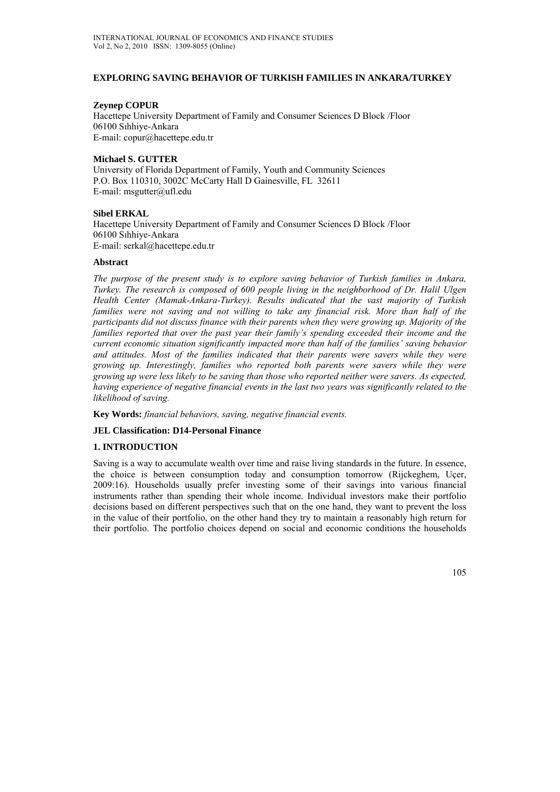## **EXPLORING SAVING BEHAVIOR OF TURKISH FAMILIES IN ANKARA/TURKEY**

### **Zeynep COPUR**

Hacettepe University Department of Family and Consumer Sciences D Block /Floor 06100 Sıhhiye-Ankara E-mail: copur@hacettepe.edu.tr

### **Michael S. GUTTER**

University of Florida Department of Family, Youth and Community Sciences P.O. Box 110310, 3002C McCarty Hall D Gainesville, FL 32611 E-mail: msgutter@ufl.edu

#### **Sibel ERKAL**

Hacettepe University Department of Family and Consumer Sciences D Block /Floor 06100 Sıhhiye-Ankara E-mail: serkal@hacettepe.edu.tr

## **Abstract**

*The purpose of the present study is to explore saving behavior of Turkish families in Ankara, Turkey. The research is composed of 600 people living in the neighborhood of Dr. Halil Ulgen Health Center (Mamak-Ankara-Turkey). Results indicated that the vast majority of Turkish families were not saving and not willing to take any financial risk. More than half of the participants did not discuss finance with their parents when they were growing up. Majority of the families reported that over the past year their family's spending exceeded their income and the current economic situation significantly impacted more than half of the families' saving behavior and attitudes. Most of the families indicated that their parents were savers while they were growing up. Interestingly, families who reported both parents were savers while they were growing up were less likely to be saving than those who reported neither were savers. As expected, having experience of negative financial events in the last two years was significantly related to the likelihood of saving.* 

**Key Words:** *financial behaviors, saving, negative financial events.*

#### **JEL Classification: D14-Personal Finance**

# **1. INTRODUCTION**

Saving is a way to accumulate wealth over time and raise living standards in the future. In essence, the choice is between consumption today and consumption tomorrow (Rijckeghem, Uçer, 2009:16). Households usually prefer investing some of their savings into various financial instruments rather than spending their whole income. Individual investors make their portfolio decisions based on different perspectives such that on the one hand, they want to prevent the loss in the value of their portfolio, on the other hand they try to maintain a reasonably high return for their portfolio. The portfolio choices depend on social and economic conditions the households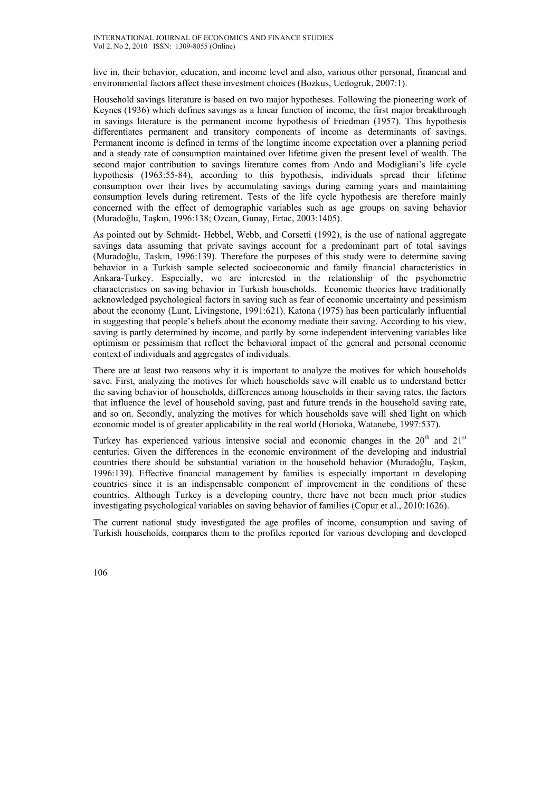live in, their behavior, education, and income level and also, various other personal, financial and environmental factors affect these investment choices (Bozkus, Ucdogruk, 2007:1).

Household savings literature is based on two major hypotheses. Following the pioneering work of Keynes (1936) which defines savings as a linear function of income, the first major breakthrough in savings literature is the permanent income hypothesis of Friedman (1957). This hypothesis differentiates permanent and transitory components of income as determinants of savings. Permanent income is defined in terms of the longtime income expectation over a planning period and a steady rate of consumption maintained over lifetime given the present level of wealth. The second major contribution to savings literature comes from Ando and Modigliani's life cycle hypothesis (1963:55-84), according to this hypothesis, individuals spread their lifetime consumption over their lives by accumulating savings during earning years and maintaining consumption levels during retirement. Tests of the life cycle hypothesis are therefore mainly concerned with the effect of demographic variables such as age groups on saving behavior (Muradoğlu, Taşkın, 1996:138; Ozcan, Gunay, Ertac, 2003:1405).

As pointed out by Schmidt- Hebbel, Webb, and Corsetti (1992), is the use of national aggregate savings data assuming that private savings account for a predominant part of total savings (Muradoğlu, Taşkın, 1996:139). Therefore the purposes of this study were to determine saving behavior in a Turkish sample selected socioeconomic and family financial characteristics in Ankara-Turkey. Especially, we are interested in the relationship of the psychometric characteristics on saving behavior in Turkish households. Economic theories have traditionally acknowledged psychological factors in saving such as fear of economic uncertainty and pessimism about the economy (Lunt, Livingstone, 1991:621). Katona (1975) has been particularly influential in suggesting that people's beliefs about the economy mediate their saving. According to his view, saving is partly determined by income, and partly by some independent intervening variables like optimism or pessimism that reflect the behavioral impact of the general and personal economic context of individuals and aggregates of individuals.

There are at least two reasons why it is important to analyze the motives for which households save. First, analyzing the motives for which households save will enable us to understand better the saving behavior of households, differences among households in their saving rates, the factors that influence the level of household saving, past and future trends in the household saving rate, and so on. Secondly, analyzing the motives for which households save will shed light on which economic model is of greater applicability in the real world (Horioka, Watanebe, 1997:537).

Turkey has experienced various intensive social and economic changes in the  $20<sup>th</sup>$  and  $21<sup>st</sup>$ centuries. Given the differences in the economic environment of the developing and industrial countries there should be substantial variation in the household behavior (Muradoğlu, Taşkın, 1996:139). Effective financial management by families is especially important in developing countries since it is an indispensable component of improvement in the conditions of these countries. Although Turkey is a developing country, there have not been much prior studies investigating psychological variables on saving behavior of families (Copur et al., 2010:1626).

The current national study investigated the age profiles of income, consumption and saving of Turkish households, compares them to the profiles reported for various developing and developed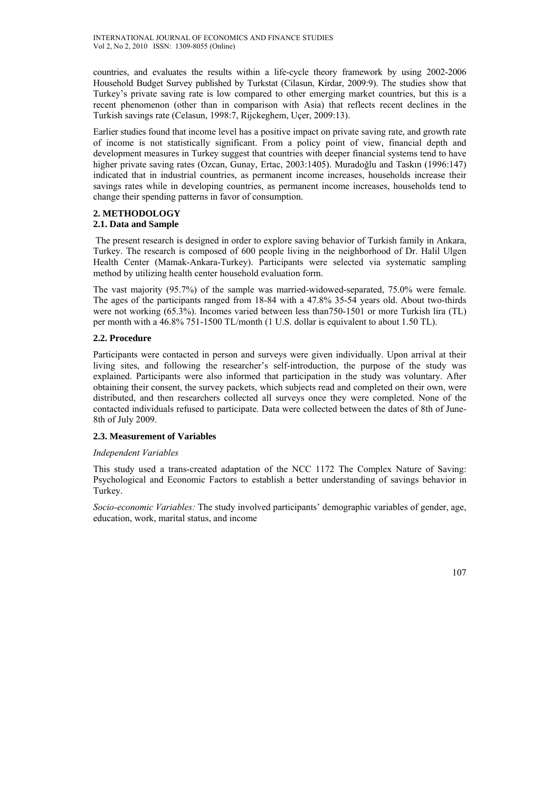countries, and evaluates the results within a life-cycle theory framework by using 2002-2006 Household Budget Survey published by Turkstat (Cilasun, Kirdar, 2009:9). The studies show that Turkey's private saving rate is low compared to other emerging market countries, but this is a recent phenomenon (other than in comparison with Asia) that reflects recent declines in the Turkish savings rate (Celasun, 1998:7, Rijckeghem, Uçer, 2009:13).

Earlier studies found that income level has a positive impact on private saving rate, and growth rate of income is not statistically significant. From a policy point of view, financial depth and development measures in Turkey suggest that countries with deeper financial systems tend to have higher private saving rates (Ozcan, Gunay, Ertac, 2003:1405). Muradoğlu and Taskın (1996:147) indicated that in industrial countries, as permanent income increases, households increase their savings rates while in developing countries, as permanent income increases, households tend to change their spending patterns in favor of consumption.

#### **2. METHODOLOGY 2.1. Data and Sample**

 The present research is designed in order to explore saving behavior of Turkish family in Ankara, Turkey. The research is composed of 600 people living in the neighborhood of Dr. Halil Ulgen Health Center (Mamak-Ankara-Turkey). Participants were selected via systematic sampling method by utilizing health center household evaluation form.

The vast majority (95.7%) of the sample was married-widowed-separated, 75.0% were female. The ages of the participants ranged from 18-84 with a 47.8% 35-54 years old. About two-thirds were not working (65.3%). Incomes varied between less than750-1501 or more Turkish lira (TL) per month with a 46.8% 751-1500 TL/month (1 U.S. dollar is equivalent to about 1.50 TL).

## **2.2. Procedure**

Participants were contacted in person and surveys were given individually. Upon arrival at their living sites, and following the researcher's self-introduction, the purpose of the study was explained. Participants were also informed that participation in the study was voluntary. After obtaining their consent, the survey packets, which subjects read and completed on their own, were distributed, and then researchers collected all surveys once they were completed. None of the contacted individuals refused to participate. Data were collected between the dates of 8th of June-8th of July 2009.

#### **2.3. Measurement of Variables**

#### *Independent Variables*

This study used a trans-created adaptation of the NCC 1172 The Complex Nature of Saving: Psychological and Economic Factors to establish a better understanding of savings behavior in Turkey.

*Socio-economic Variables:* The study involved participants' demographic variables of gender, age, education, work, marital status, and income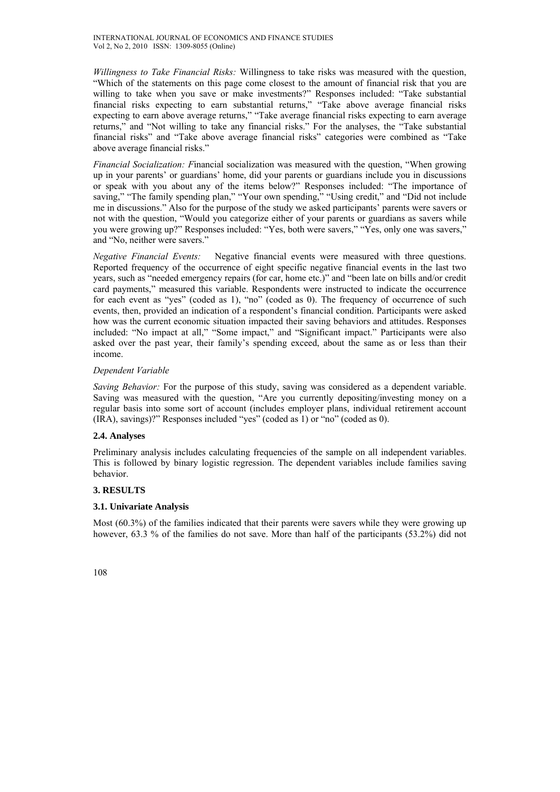*Willingness to Take Financial Risks:* Willingness to take risks was measured with the question, "Which of the statements on this page come closest to the amount of financial risk that you are willing to take when you save or make investments?" Responses included: "Take substantial financial risks expecting to earn substantial returns," "Take above average financial risks expecting to earn above average returns," "Take average financial risks expecting to earn average returns," and "Not willing to take any financial risks." For the analyses, the "Take substantial financial risks" and "Take above average financial risks" categories were combined as "Take above average financial risks."

*Financial Socialization: F*inancial socialization was measured with the question, "When growing up in your parents' or guardians' home, did your parents or guardians include you in discussions or speak with you about any of the items below?" Responses included: "The importance of saving," "The family spending plan," "Your own spending," "Using credit," and "Did not include me in discussions." Also for the purpose of the study we asked participants' parents were savers or not with the question, "Would you categorize either of your parents or guardians as savers while you were growing up?" Responses included: "Yes, both were savers," "Yes, only one was savers," and "No, neither were savers."

*Negative Financial Events:* Negative financial events were measured with three questions. Reported frequency of the occurrence of eight specific negative financial events in the last two years, such as "needed emergency repairs (for car, home etc.)" and "been late on bills and/or credit card payments," measured this variable. Respondents were instructed to indicate the occurrence for each event as "yes" (coded as 1), "no" (coded as 0). The frequency of occurrence of such events, then, provided an indication of a respondent's financial condition. Participants were asked how was the current economic situation impacted their saving behaviors and attitudes. Responses included: "No impact at all," "Some impact," and "Significant impact." Participants were also asked over the past year, their family's spending exceed, about the same as or less than their income.

#### *Dependent Variable*

*Saving Behavior:* For the purpose of this study, saving was considered as a dependent variable. Saving was measured with the question, "Are you currently depositing/investing money on a regular basis into some sort of account (includes employer plans, individual retirement account (IRA), savings)?" Responses included "yes" (coded as 1) or "no" (coded as 0).

# **2.4. Analyses**

Preliminary analysis includes calculating frequencies of the sample on all independent variables. This is followed by binary logistic regression. The dependent variables include families saving behavior.

# **3. RESULTS**

#### **3.1. Univariate Analysis**

Most (60.3%) of the families indicated that their parents were savers while they were growing up however, 63.3 % of the families do not save. More than half of the participants (53.2%) did not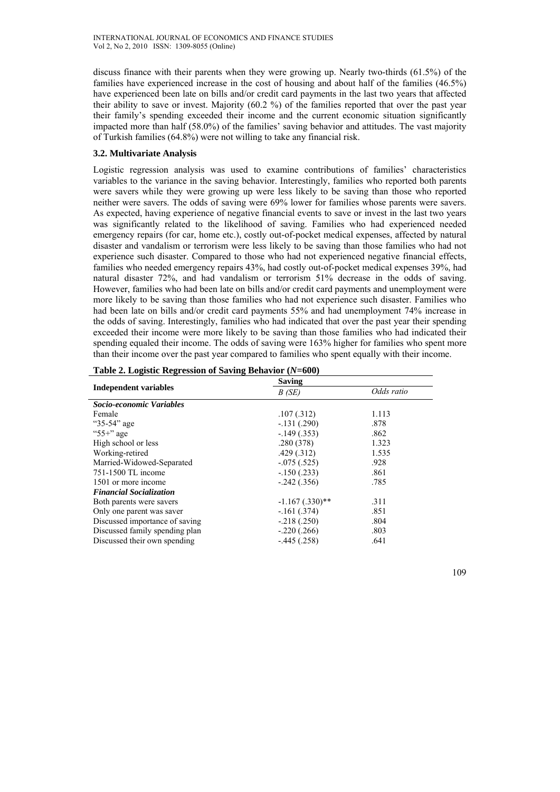discuss finance with their parents when they were growing up. Nearly two-thirds (61.5%) of the families have experienced increase in the cost of housing and about half of the families (46.5%) have experienced been late on bills and/or credit card payments in the last two years that affected their ability to save or invest. Majority (60.2 %) of the families reported that over the past year their family's spending exceeded their income and the current economic situation significantly impacted more than half (58.0%) of the families' saving behavior and attitudes. The vast majority of Turkish families (64.8%) were not willing to take any financial risk.

## **3.2. Multivariate Analysis**

Logistic regression analysis was used to examine contributions of families' characteristics variables to the variance in the saving behavior. Interestingly, families who reported both parents were savers while they were growing up were less likely to be saving than those who reported neither were savers. The odds of saving were 69% lower for families whose parents were savers. As expected, having experience of negative financial events to save or invest in the last two years was significantly related to the likelihood of saving. Families who had experienced needed emergency repairs (for car, home etc.), costly out-of-pocket medical expenses, affected by natural disaster and vandalism or terrorism were less likely to be saving than those families who had not experience such disaster. Compared to those who had not experienced negative financial effects, families who needed emergency repairs 43%, had costly out-of-pocket medical expenses 39%, had natural disaster 72%, and had vandalism or terrorism 51% decrease in the odds of saving. However, families who had been late on bills and/or credit card payments and unemployment were more likely to be saving than those families who had not experience such disaster. Families who had been late on bills and/or credit card payments 55% and had unemployment 74% increase in the odds of saving. Interestingly, families who had indicated that over the past year their spending exceeded their income were more likely to be saving than those families who had indicated their spending equaled their income. The odds of saving were 163% higher for families who spent more than their income over the past year compared to families who spent equally with their income.

|                                | Saving            |            |  |  |
|--------------------------------|-------------------|------------|--|--|
| <b>Independent variables</b>   | B(SE)             | Odds ratio |  |  |
| Socio-economic Variables       |                   |            |  |  |
| Female                         | .107(.312)        | 1.113      |  |  |
| "35-54" age                    | $-131(.290)$      | .878       |  |  |
| " $55+$ " age                  | $-149(.353)$      | .862       |  |  |
| High school or less            | .280(378)         | 1.323      |  |  |
| Working-retired                | .429(.312)        | 1.535      |  |  |
| Married-Widowed-Separated      | $-.075(.525)$     | .928       |  |  |
| 751-1500 TL income             | $-.150(.233)$     | .861       |  |  |
| 1501 or more income            | $-.242(.356)$     | .785       |  |  |
| <b>Financial Socialization</b> |                   |            |  |  |
| Both parents were savers       | $-1.167(.330)$ ** | .311       |  |  |
| Only one parent was saver      | $-.161(.374)$     | .851       |  |  |
| Discussed importance of saving | $-.218(.250)$     | .804       |  |  |
| Discussed family spending plan | $-.220(.266)$     | .803       |  |  |
| Discussed their own spending   | $-.445(.258)$     | .641       |  |  |

| Table 2. Logistic Regression of Saving Behavior $(N=600)$ |
|-----------------------------------------------------------|
|-----------------------------------------------------------|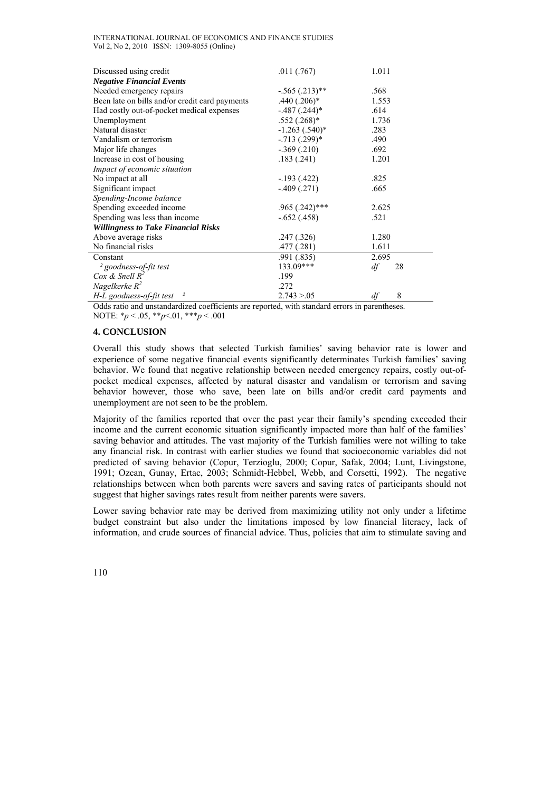| INTERNATIONAL JOURNAL OF ECONOMICS AND FINANCE STUDIES |  |  |  |
|--------------------------------------------------------|--|--|--|
| Vol 2, No 2, 2010 ISSN: 1309-8055 (Online)             |  |  |  |

| Discussed using credit                              | .011(.767)         | 1.011    |
|-----------------------------------------------------|--------------------|----------|
| <b>Negative Financial Events</b>                    |                    |          |
| Needed emergency repairs                            | $-.565(.213)$ **   | .568     |
| Been late on bills and/or credit card payments      | $.440(.206)*$      | 1.553    |
| Had costly out-of-pocket medical expenses           | $-.487(.244)*$     | .614     |
| Unemployment                                        | $.552(.268)*$      | 1.736    |
| Natural disaster                                    | $-1.263$ $(.540)*$ | .283     |
| Vandalism or terrorism                              | $-.713(.299)*$     | .490     |
| Major life changes                                  | $-0.369(0.210)$    | .692     |
| Increase in cost of housing                         | .183(.241)         | 1.201    |
| Impact of economic situation                        |                    |          |
| No impact at all                                    | $-193(0.422)$      | .825     |
| Significant impact                                  | $-409(0.271)$      | .665     |
| Spending-Income balance                             |                    |          |
| Spending exceeded income                            | .965 (.242)***     | 2.625    |
| Spending was less than income                       | $-.652(.458)$      | .521     |
| <b>Willingness to Take Financial Risks</b>          |                    |          |
| Above average risks                                 | .247(.326)         | 1.280    |
| No financial risks                                  | .477(.281)         | 1.611    |
| Constant                                            | .991(.835)         | 2.695    |
| <sup>2</sup> goodness-of-fit test                   | 133.09***          | df<br>28 |
| Cox & Snell $R^2$                                   | .199               |          |
| Nagelkerke $R^2$                                    | .272               |          |
| H-L goodness-of-fit test<br>$\overline{\mathbf{z}}$ | 2.743 > 0.05       | 8<br>df  |

Odds ratio and unstandardized coefficients are reported, with standard errors in parentheses. NOTE: \**p* < .05, \*\**p*<.01, \*\*\**p* < .001

#### **4. CONCLUSION**

Overall this study shows that selected Turkish families' saving behavior rate is lower and experience of some negative financial events significantly determinates Turkish families' saving behavior. We found that negative relationship between needed emergency repairs, costly out-ofpocket medical expenses, affected by natural disaster and vandalism or terrorism and saving behavior however, those who save, been late on bills and/or credit card payments and unemployment are not seen to be the problem.

Majority of the families reported that over the past year their family's spending exceeded their income and the current economic situation significantly impacted more than half of the families' saving behavior and attitudes. The vast majority of the Turkish families were not willing to take any financial risk. In contrast with earlier studies we found that socioeconomic variables did not predicted of saving behavior (Copur, Terzioglu, 2000; Copur, Safak, 2004; Lunt, Livingstone, 1991; Ozcan, Gunay, Ertac, 2003; Schmidt-Hebbel, Webb, and Corsetti, 1992). The negative relationships between when both parents were savers and saving rates of participants should not suggest that higher savings rates result from neither parents were savers.

Lower saving behavior rate may be derived from maximizing utility not only under a lifetime budget constraint but also under the limitations imposed by low financial literacy, lack of information, and crude sources of financial advice. Thus, policies that aim to stimulate saving and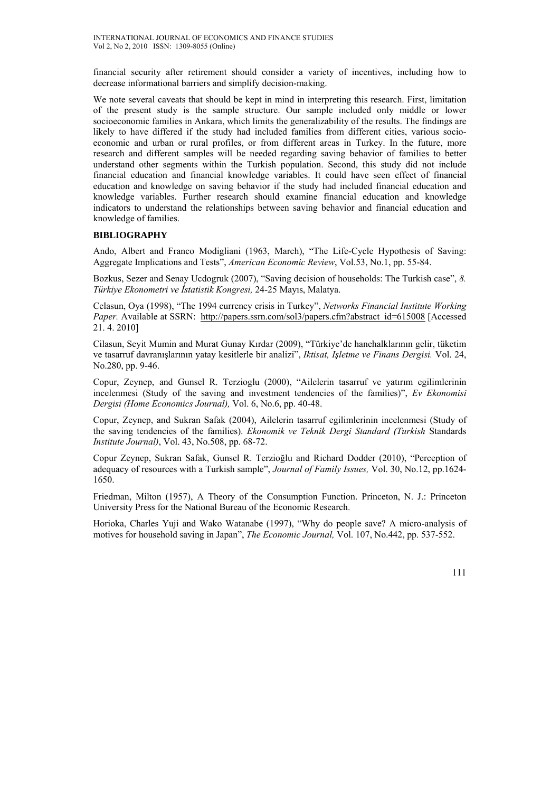financial security after retirement should consider a variety of incentives, including how to decrease informational barriers and simplify decision-making.

We note several caveats that should be kept in mind in interpreting this research. First, limitation of the present study is the sample structure. Our sample included only middle or lower socioeconomic families in Ankara, which limits the generalizability of the results. The findings are likely to have differed if the study had included families from different cities, various socioeconomic and urban or rural profiles, or from different areas in Turkey. In the future, more research and different samples will be needed regarding saving behavior of families to better understand other segments within the Turkish population. Second, this study did not include financial education and financial knowledge variables. It could have seen effect of financial education and knowledge on saving behavior if the study had included financial education and knowledge variables. Further research should examine financial education and knowledge indicators to understand the relationships between saving behavior and financial education and knowledge of families.

#### **BIBLIOGRAPHY**

Ando, Albert and Franco Modigliani (1963, March), "The Life-Cycle Hypothesis of Saving: Aggregate Implications and Tests", *American Economic Review*, Vol.53, No.1, pp. 55-84.

Bozkus, Sezer and Senay Ucdogruk (2007), "Saving decision of households: The Turkish case", *8. Türkiye Ekonometri ve İstatistik Kongresi,* 24-25 Mayıs, Malatya.

Celasun, Oya (1998), "The 1994 currency crisis in Turkey", *Networks Financial Institute Working Paper.* Available at SSRN: http://papers.ssrn.com/sol3/papers.cfm?abstract\_id=615008 [Accessed] 21. 4. 2010]

Cilasun, Seyit Mumin and Murat Gunay Kırdar (2009), "Türkiye'de hanehalklarının gelir, tüketim ve tasarruf davranışlarının yatay kesitlerle bir analizi", *Iktisat, Işletme ve Finans Dergisi.* Vol. 24, No.280, pp. 9-46.

Copur, Zeynep, and Gunsel R. Terzioglu (2000), "Ailelerin tasarruf ve yatırım egilimlerinin incelenmesi (Study of the saving and investment tendencies of the families)", *Ev Ekonomisi Dergisi (Home Economics Journal),* Vol. 6, No.6, pp. 40-48.

Copur, Zeynep, and Sukran Safak (2004), Ailelerin tasarruf egilimlerinin incelenmesi (Study of the saving tendencies of the families). *Ekonomik ve Teknik Dergi Standard (Turkish* Standards *Institute Journal)*, Vol. 43, No.508, pp. 68-72.

Copur Zeynep, Sukran Safak, Gunsel R. Terzioğlu and Richard Dodder (2010), "Perception of adequacy of resources with a Turkish sample", *Journal of Family Issues,* Vol. 30, No.12, pp.1624- 1650.

Friedman, Milton (1957), A Theory of the Consumption Function. Princeton, N. J.: Princeton University Press for the National Bureau of the Economic Research.

Horioka, Charles Yuji and Wako Watanabe (1997), "Why do people save? A micro-analysis of motives for household saving in Japan", *The Economic Journal,* Vol. 107, No.442, pp. 537-552.